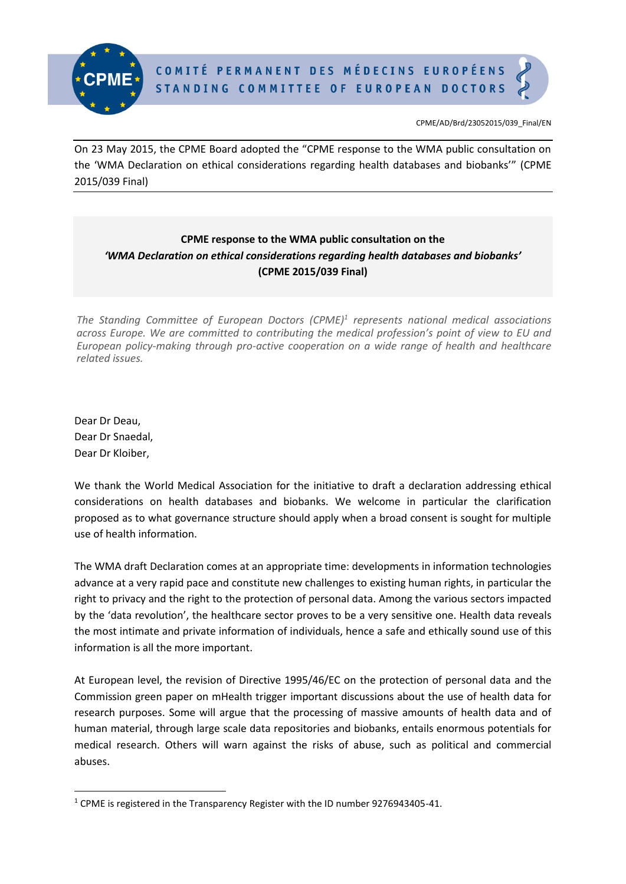

CPME/AD/Brd/23052015/039\_Final/EN

On 23 May 2015, the CPME Board adopted the "CPME response to the WMA public consultation on the 'WMA Declaration on ethical considerations regarding health databases and biobanks'" (CPME 2015/039 Final)

## **CPME response to the WMA public consultation on the** *'WMA Declaration on ethical considerations regarding health databases and biobanks'* **(CPME 2015/039 Final)**

*The Standing Committee of European Doctors (CPME)<sup>1</sup> represents national medical associations across Europe. We are committed to contributing the medical profession's point of view to EU and European policy-making through pro-active cooperation on a wide range of health and healthcare related issues.*

Dear Dr Deau, Dear Dr Snaedal, Dear Dr Kloiber,

**.** 

We thank the World Medical Association for the initiative to draft a declaration addressing ethical considerations on health databases and biobanks. We welcome in particular the clarification proposed as to what governance structure should apply when a broad consent is sought for multiple use of health information.

The WMA draft Declaration comes at an appropriate time: developments in information technologies advance at a very rapid pace and constitute new challenges to existing human rights, in particular the right to privacy and the right to the protection of personal data. Among the various sectors impacted by the 'data revolution', the healthcare sector proves to be a very sensitive one. Health data reveals the most intimate and private information of individuals, hence a safe and ethically sound use of this information is all the more important.

At European level, the revision of Directive 1995/46/EC on the protection of personal data and the Commission green paper on mHealth trigger important discussions about the use of health data for research purposes. Some will argue that the processing of massive amounts of health data and of human material, through large scale data repositories and biobanks, entails enormous potentials for medical research. Others will warn against the risks of abuse, such as political and commercial abuses.

<sup>&</sup>lt;sup>1</sup> CPME is registered in the Transparency Register with the ID number 9276943405-41.